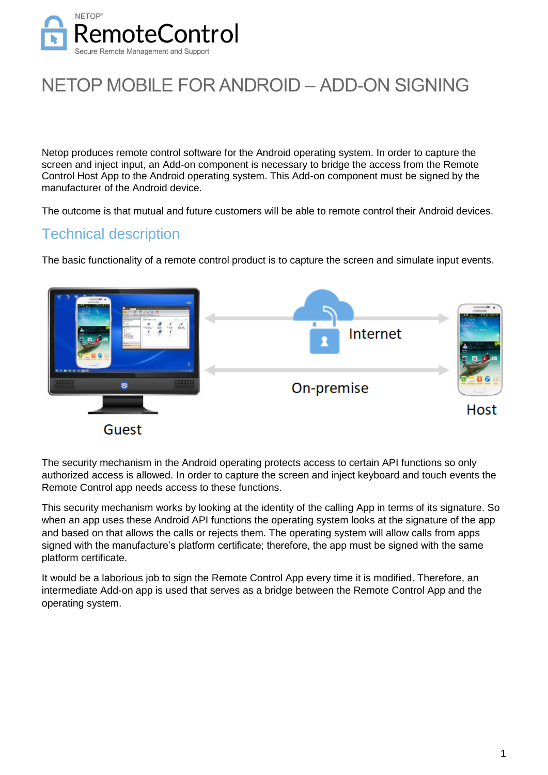

# NETOP MOBILE FOR ANDROID – ADD-ON SIGNING

Netop produces remote control software for the Android operating system. In order to capture the screen and inject input, an Add-on component is necessary to bridge the access from the Remote Control Host App to the Android operating system. This Add-on component must be signed by the manufacturer of the Android device.

The outcome is that mutual and future customers will be able to remote control their Android devices.

## Technical description

The basic functionality of a remote control product is to capture the screen and simulate input events.



The security mechanism in the Android operating protects access to certain API functions so only authorized access is allowed. In order to capture the screen and inject keyboard and touch events the Remote Control app needs access to these functions.

This security mechanism works by looking at the identity of the calling App in terms of its signature. So when an app uses these Android API functions the operating system looks at the signature of the app and based on that allows the calls or rejects them. The operating system will allow calls from apps signed with the manufacture's platform certificate; therefore, the app must be signed with the same platform certificate.

It would be a laborious job to sign the Remote Control App every time it is modified. Therefore, an intermediate Add-on app is used that serves as a bridge between the Remote Control App and the operating system.